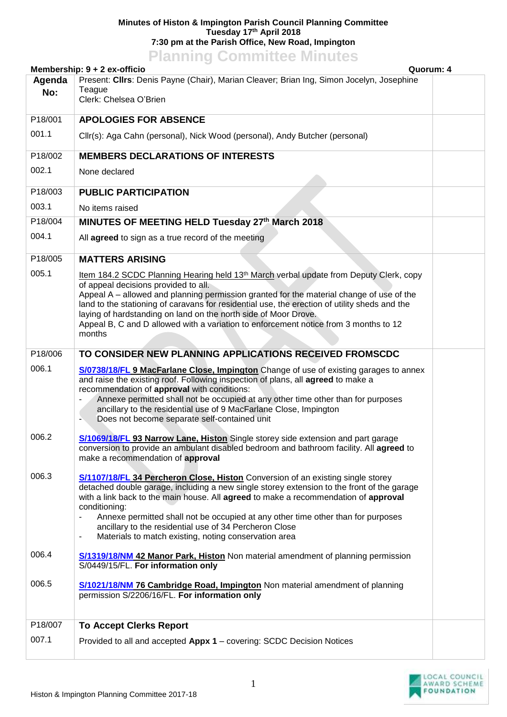## **Minutes of Histon & Impington Parish Council Planning Committee Tuesday 17th April 2018 7:30 pm at the Parish Office, New Road, Impington**

## **Planning Committee Minutes**

|         | Membership: 9 + 2 ex-officio                                                                                                                                                                                                                                                                                                                                                                                                                                                                                 | Quorum: 4 |
|---------|--------------------------------------------------------------------------------------------------------------------------------------------------------------------------------------------------------------------------------------------------------------------------------------------------------------------------------------------------------------------------------------------------------------------------------------------------------------------------------------------------------------|-----------|
| Agenda  | Present: Clirs: Denis Payne (Chair), Marian Cleaver; Brian Ing, Simon Jocelyn, Josephine                                                                                                                                                                                                                                                                                                                                                                                                                     |           |
| No:     | Teague<br>Clerk: Chelsea O'Brien                                                                                                                                                                                                                                                                                                                                                                                                                                                                             |           |
|         |                                                                                                                                                                                                                                                                                                                                                                                                                                                                                                              |           |
| P18/001 | <b>APOLOGIES FOR ABSENCE</b>                                                                                                                                                                                                                                                                                                                                                                                                                                                                                 |           |
| 001.1   | Cllr(s): Aga Cahn (personal), Nick Wood (personal), Andy Butcher (personal)                                                                                                                                                                                                                                                                                                                                                                                                                                  |           |
| P18/002 | <b>MEMBERS DECLARATIONS OF INTERESTS</b>                                                                                                                                                                                                                                                                                                                                                                                                                                                                     |           |
| 002.1   | None declared                                                                                                                                                                                                                                                                                                                                                                                                                                                                                                |           |
| P18/003 | <b>PUBLIC PARTICIPATION</b>                                                                                                                                                                                                                                                                                                                                                                                                                                                                                  |           |
| 003.1   | No items raised                                                                                                                                                                                                                                                                                                                                                                                                                                                                                              |           |
| P18/004 | MINUTES OF MEETING HELD Tuesday 27th March 2018                                                                                                                                                                                                                                                                                                                                                                                                                                                              |           |
| 004.1   | All agreed to sign as a true record of the meeting                                                                                                                                                                                                                                                                                                                                                                                                                                                           |           |
| P18/005 | <b>MATTERS ARISING</b>                                                                                                                                                                                                                                                                                                                                                                                                                                                                                       |           |
| 005.1   | Item 184.2 SCDC Planning Hearing held 13 <sup>th</sup> March verbal update from Deputy Clerk, copy<br>of appeal decisions provided to all.<br>Appeal A – allowed and planning permission granted for the material change of use of the<br>land to the stationing of caravans for residential use, the erection of utility sheds and the<br>laying of hardstanding on land on the north side of Moor Drove.<br>Appeal B, C and D allowed with a variation to enforcement notice from 3 months to 12<br>months |           |
| P18/006 | TO CONSIDER NEW PLANNING APPLICATIONS RECEIVED FROMSCDC                                                                                                                                                                                                                                                                                                                                                                                                                                                      |           |
| 006.1   | S/0738/18/FL 9 MacFarlane Close, Impington Change of use of existing garages to annex<br>and raise the existing roof. Following inspection of plans, all agreed to make a<br>recommendation of approval with conditions:<br>Annexe permitted shall not be occupied at any other time other than for purposes<br>ancillary to the residential use of 9 MacFarlane Close, Impington<br>Does not become separate self-contained unit                                                                            |           |
| 006.2   | S/1069/18/FL 93 Narrow Lane, Histon Single storey side extension and part garage<br>conversion to provide an ambulant disabled bedroom and bathroom facility. All agreed to<br>make a recommendation of approval                                                                                                                                                                                                                                                                                             |           |
| 006.3   | <b>S/1107/18/FL 34 Percheron Close, Histon</b> Conversion of an existing single storey<br>detached double garage, including a new single storey extension to the front of the garage<br>with a link back to the main house. All agreed to make a recommendation of approval<br>conditioning:<br>Annexe permitted shall not be occupied at any other time other than for purposes<br>ancillary to the residential use of 34 Percheron Close<br>Materials to match existing, noting conservation area<br>٠     |           |
| 006.4   | S/1319/18/NM 42 Manor Park, Histon Non material amendment of planning permission<br>S/0449/15/FL. For information only                                                                                                                                                                                                                                                                                                                                                                                       |           |
| 006.5   | <b>S/1021/18/NM 76 Cambridge Road, Impington</b> Non material amendment of planning<br>permission S/2206/16/FL. For information only                                                                                                                                                                                                                                                                                                                                                                         |           |
| P18/007 | <b>To Accept Clerks Report</b>                                                                                                                                                                                                                                                                                                                                                                                                                                                                               |           |
| 007.1   | Provided to all and accepted Appx 1 - covering: SCDC Decision Notices                                                                                                                                                                                                                                                                                                                                                                                                                                        |           |